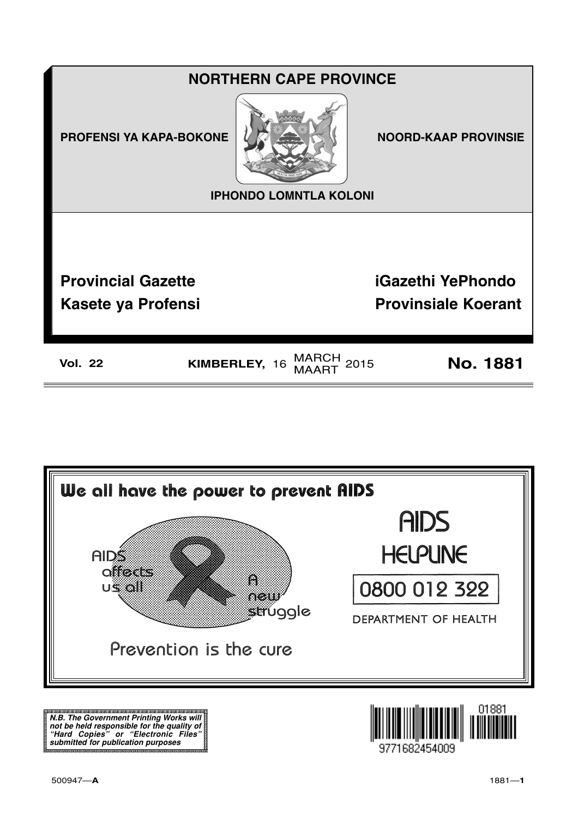



**N.B. The Government Printing Works will not be held responsible for the quality of "Hard Copies" or "Electronic Files" submitted for publication purposes**

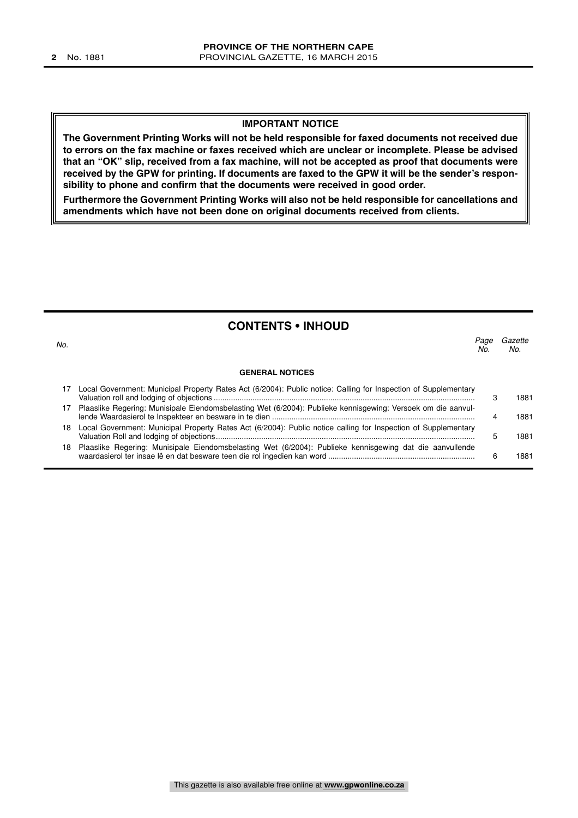#### **IMPORTANT NOTICE**

**The Government Printing Works will not be held responsible for faxed documents not received due to errors on the fax machine or faxes received which are unclear or incomplete. Please be advised that an "OK" slip, received from a fax machine, will not be accepted as proof that documents were received by the GPW for printing. If documents are faxed to the GPW it will be the sender's responsibility to phone and confirm that the documents were received in good order.**

**Furthermore the Government Printing Works will also not be held responsible for cancellations and amendments which have not been done on original documents received from clients.**

#### **CONTENTS • INHOUD**

| No. |                                                                                                                 | Page<br>No. | Gazette<br>No. |
|-----|-----------------------------------------------------------------------------------------------------------------|-------------|----------------|
|     | <b>GENERAL NOTICES</b>                                                                                          |             |                |
|     | Local Government: Municipal Property Rates Act (6/2004): Public notice: Calling for Inspection of Supplementary |             | 1881           |
|     | Plaaslike Regering: Munisipale Eiendomsbelasting Wet (6/2004): Publieke kennisgewing: Versoek om die aanvul-    |             | 1881           |
| 18  | Local Government: Municipal Property Rates Act (6/2004): Public notice calling for Inspection of Supplementary  |             | 1881           |
| 18  | Plaaslike Regering: Munisipale Eiendomsbelasting Wet (6/2004): Publieke kennisgewing dat die aanvullende        |             | 1881           |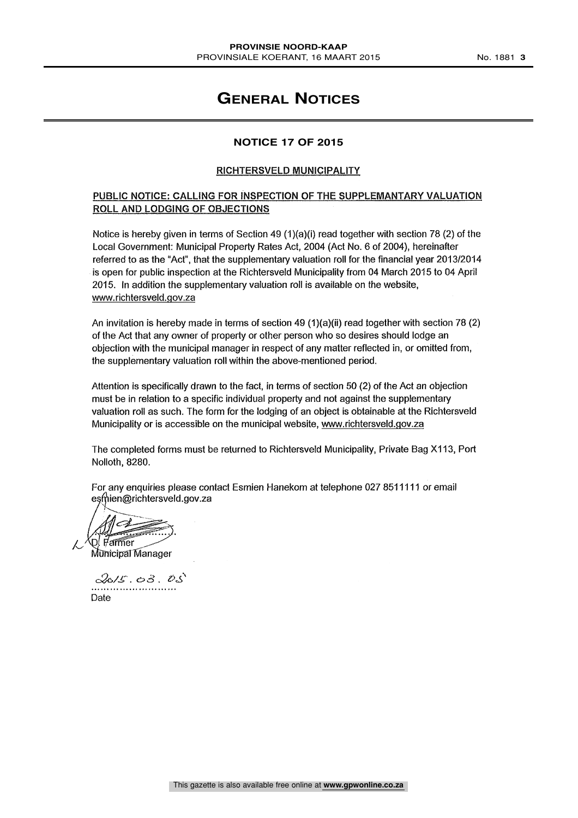### **GENERAL NOTICES**

#### **NOTICE 17 OF 2015**

#### RICHTERSVELD MUNICIPALITY

#### PUBLIC NOTICE: CALLING FOR INSPECTION OF THE SUPPLEMANTARY VALUATION ROLL AND LODGING OF OBJECTIONS

Notice is hereby given in terms of Section 49 (1)(a)(i) read together with section 78 (2) of the Local Government: Municipal Property Rates Act, 2004 (Act No. 6 of 2004), hereinafter referred to as the "Act", that the supplementary valuation roll for the financial year 2013/2014 is open for public inspection at the Richtersveld Municipality from 04 March 2015 to 04 April 2015. In addition the supplementary valuation roll is available on the website, www.richtersveld.gov.za

An invitation is hereby made in terms of section 49 (1)(a)(ii) read together with section 78 (2) of the Act that any owner of property or other person who so desires should lodge an objection with the municipal manager in respect of any matter reflected in, or omitted from, the supplementary valuation roll within the above-mentioned period.

Attention is specifically drawn to the fact, in terms of section 50 (2) of the Act an objection must be in relation to a specific individual property and not against the supplementary valuation roll as such. The form for the lodging of an object is obtainable at the Richtersveld Municipality or is accessible on the municipal website, www.richtersveld.gov.za

The completed forms must be returned to Richtersveld Municipality, Private Bag X113, Port Nolloth, 8280.

For any enquiries please contact Esmien Hanekom at telephone 027 8511111 or email esmien@richtersveld.gov.za

 $\mathcal{A}\mathbb{I} \subset \mathbb{Z}$ **Farmer** 

Municipal Manager

 $2015.03.05$ Date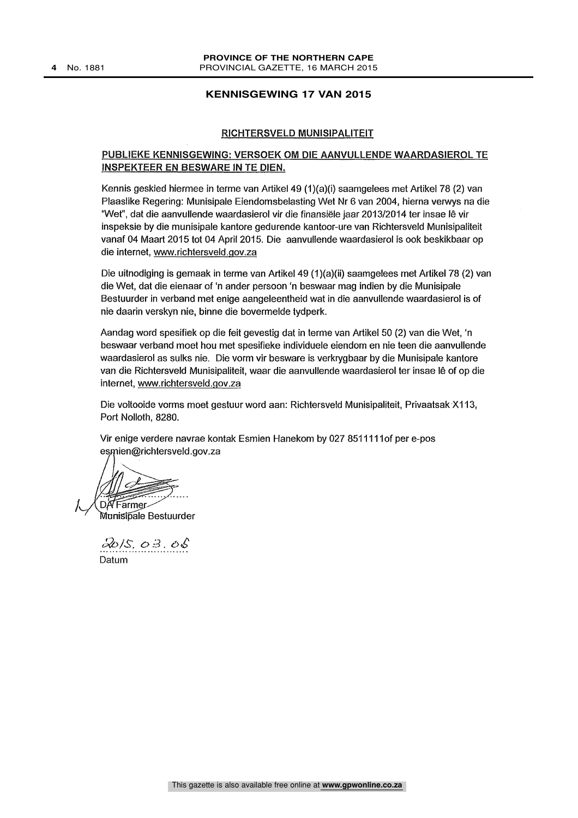#### **KENNISGEWING 17 VAN 2015**

#### RICHTERSVELD MUNISIPALITEIT

#### PUBLIEKE KENNISGEWING: VERSOEK OM DIE AANVULLENDE WAARDASIEROL TE INSPEKTEER EN BESWARE IN TE DIEN.

Kennis geskied hiermee in terme van Artikel 49 (1)(a)(i) saamgelees met Artikel 78 (2) van Pleas like Regering: Munisipale Eiendomsbelasting Wet Nr 6 van 2004, hierna verwys na die 'Wet", dat die aanvullende waardasierol vir die finansiele jaar 2013/2014 ter insae 16 vir inspeksie by die munisipale kantore gedurende kantoor-ure van Richtersveld Munisipaliteit vanaf 04 Maart 2015 tot 04 April 2015. Die aanvullende waardasierol is ook beskikbaar op die Internet, www.richtersveld.gov.za

Die uitnodiging is gemaak in terme van Artikel 49 (1)(a)(ii) saamgelees met Artikel 78 (2) van die Wet, dat die eienaar of 'n ander persoon 'n beswaar mag indien by die Munisipale Bestuurder in verband met enige aangeleentheid wat in die aanvullende waardasierol is of nie daarin verskyn nie, binne die bovermelde tydperk.

Aandag word spesifiek op die feit gevestig dat in terme van Artikel 50 (2) van die Wet, 'n beswaar verband moat hou met spesifieke individuele eiendom en nie teen die aanvullende waardasierol as sulks nie. Die vorm vir besware is verkrygbaar by die Munisipale kantore van die Richtersveld Munisipaliteit, waar die aanvullende waardasierol ter insae le of op die internet, www.richtersveld.gov.za

Die voltooide vorms moet gestuur word aan Richtersveld Munisipaliteit, Privaatsak X113, Port Nolloth, 8280.

Vir enige verdere navrae kontak Esmien Hanekom by 027 8511111of per e-pos esmien@richtersveld.gov.za

DA Farmer

Munisipale Bestuurder

 $2015, 03, 05$ Datum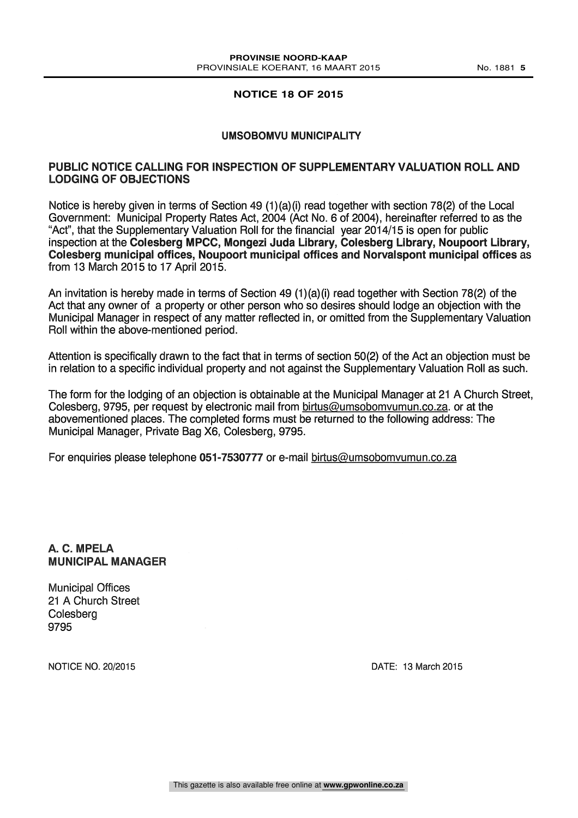#### **NOTICE 18 OF 2015**

#### UMSOBOMVU MUNICIPALITY

#### PUBLIC NOTICE CALLING FOR INSPECTION OF SUPPLEMENTARY VALUATION ROLL AND LODGING OF OBJECTIONS

Notice is hereby given in terms of Section 49 (1)(a)(i) read together with section 78(2) of the Local Government: Municipal Property Rates Act, 2004 (Act No. 6 of 2004), hereinafter referred to as the "Act", that the Supplementary Valuation Roll for the financial year 2014/15 is open for public inspection at the Colesberg MPCC, Mongezi Juda Library, Colesberg Library, Noupoort Library, Colesberg municipal offices, Noupoort municipal offices and Norvalspont municipal offices as from 13 March 2015 to 17 April 2015.

An invitation is hereby made in terms of Section 49 (1)(a)(i) read together with Section 78(2) of the Act that any owner of a property or other person who so desires should lodge an objection with the Municipal Manager in respect of any matter reflected in, or omitted from the Supplementary Valuation Roll within the above-mentioned period.

Attention is specifically drawn to the fact that in terms of section 50(2) of the Act an objection must be in relation to a specific individual property and not against the Supplementary Valuation Roll as such.

The form for the lodging of an objection is obtainable at the Municipal Manager at 21 A Church Street, Colesberg, 9795, per request by electronic mail from birtus@umsobomvumun.co.za. or at the abovementioned places. The completed forms must be returned to the following address: The Municipal Manager, Private Bag X6, Colesberg, 9795.

For enquiries please telephone 051-7530777 or e-mail birtus@umsobomvumun.co.za

#### A. C. MPELA MUNICIPAL MANAGER

Municipal Offices 21 A Church Street **Colesberg** 9795

NOTICE NO. 20/2015 DATE: 13 March 2015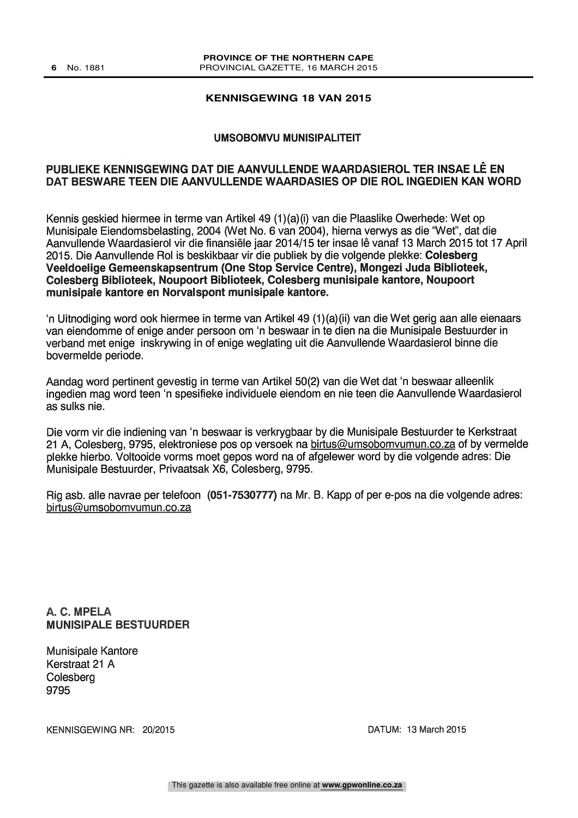#### **KENNISGEWING 18 VAN 2015**

#### UMSOBOMVU MUNISIPALITEIT

#### PUBLIEKE KENNISGEWING DAT DIE AANVULLENDE WAARDASIEROL TER INSAE LÊ EN DAT BESWARE TEEN DIE AANVULLENDE WAARDASIES OP DIE ROL INGEDIEN KAN WORD

Kennis geskied hiermee in terme van Artikel 49 (1)(a)(i) van die Plaaslike Owerhede: Wet op Munisipale Eiendomsbelasting, 2004 (Wet No. 6 van 2004), hierna verwys as die 'Wet", dat die Aanvullende Waardasierol vir die finansiele jaar 2014/15 ter insae Ie vanaf 13 March 2015 tot 17 April 2015. Die Aanvullende Rol is beskikbaar vir die publiek by die volgende plekke: Colesberg Veeldoelige Gemeenskapsentrum (One Stop Service Centre), Mongezi Juda Biblioteek, Colesberg Biblioteek, Noupoort Biblioteek, Colesberg munisipale kantore, Noupoort munisipale kantore en Norvalspont munisipale kantore.

`n Uitnodiging word ook hiermee in terme van Artikel 49 (1)(a)(ii) van die Wet gerig aan alle eienaars van eiendomme of enige ander persoon om 'n beswaar in to dien na die Munisipale Bestuurder in verband met enige inskrywing in of enige weglating uit die Aanvullende Waardasierol binne die bovermelde periode.

Aandag word pertinent gevestig in terme van Artikel 50(2) van die Wet dat 'n beswaar alleenlik ingedien mag word teen 'n spesifieke individuele eiendom en nie teen die Aanvullende Waardasierol as sulks nie.

Die vorm vir die indiening van 'n beswaar is verkrygbaar by die Munisipale Bestuurder te Kerkstraat 21 A, Colesberg, 9795, elektroniese pos op versoek na birtus@umsobomvumun.co.za of by vermelde plekke hierbo. Voltooide vorms moet gepos word na of afgelewer word by die volgende adres: Die Munisipale Bestuurder, Privaatsak X6, Colesberg, 9795.

Rig asb. alle navrae per telefoon (051-7530777) na Mr. B. Kapp of per e-pos na die volgende adres: birtus@umsobomvumun.co.za

A. C. MPELA MUNISIPALE BESTUURDER

Munisipale Kantore Kerstraat 21 A Colesberg 9795

KENNISGEWING NR: 20/2015 CENTER AND THE DATUM: 13 March 2015